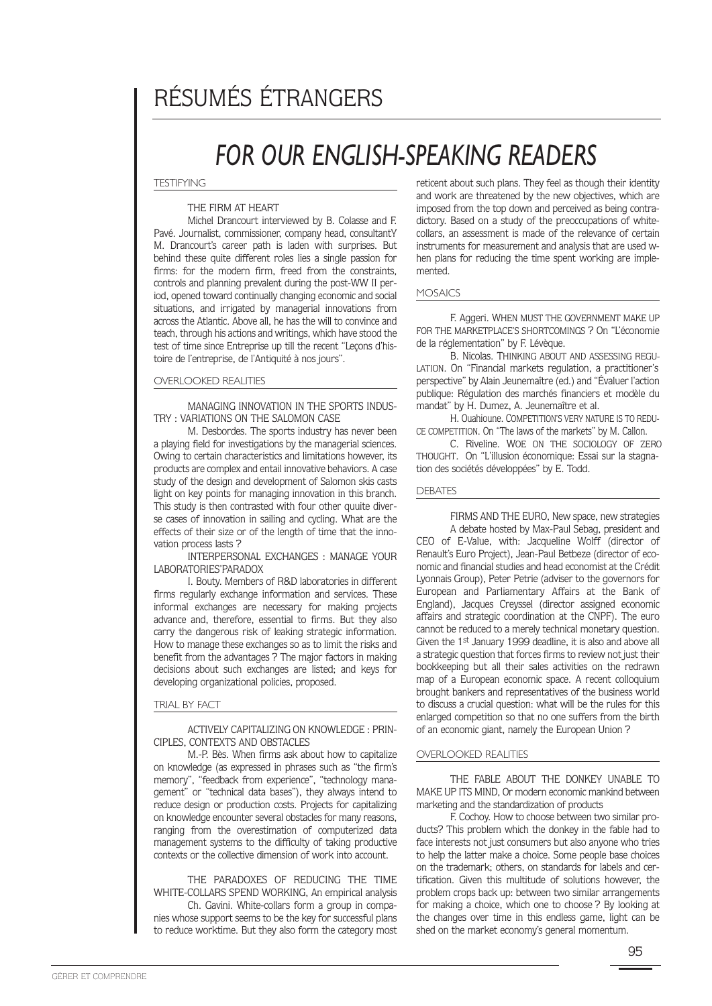# RÉSUMÉS ÉTRANGERS

# *FOR OUR ENGLISH-SPEAKING READERS*

**TESTIFYING** 

#### THE FIRM AT HEART

Michel Drancourt interviewed by B. Colasse and F. Pavé. Journalist, commissioner, company head, consultantY M. Drancourt's career path is laden with surprises. But behind these quite different roles lies a single passion for firms: for the modern firm, freed from the constraints, controls and planning prevalent during the post-WW II period, opened toward continually changing economic and social situations, and irrigated by managerial innovations from across the Atlantic. Above all, he has the will to convince and teach, through his actions and writings, which have stood the test of time since Entreprise up till the recent "Leçons d'histoire de l'entreprise, de l'Antiquité à nos jours".

# OVERLOOKED REALITIES

MANAGING INNOVATION IN THE SPORTS INDUS-TRY : VARIATIONS ON THE SALOMON CASE

M. Desbordes. The sports industry has never been a playing field for investigations by the managerial sciences. Owing to certain characteristics and limitations however, its products are complex and entail innovative behaviors. A case study of the design and development of Salomon skis casts light on key points for managing innovation in this branch. This study is then contrasted with four other quuite diverse cases of innovation in sailing and cycling. What are the effects of their size or of the length of time that the innovation process lasts ?

INTERPERSONAL EXCHANGES : MANAGE YOUR LABORATORIES'PARADOX

I. Bouty. Members of R&D laboratories in different firms regularly exchange information and services. These informal exchanges are necessary for making projects advance and, therefore, essential to firms. But they also carry the dangerous risk of leaking strategic information. How to manage these exchanges so as to limit the risks and benefit from the advantages ? The major factors in making decisions about such exchanges are listed; and keys for developing organizational policies, proposed.

TRIAL BY FACT

ACTIVELY CAPITALIZING ON KNOWLEDGE : PRIN-CIPLES, CONTEXTS AND OBSTACLES

M.-P. Bès. When firms ask about how to capitalize on knowledge (as expressed in phrases such as "the firm's memory", "feedback from experience", "technology management" or "technical data bases"), they always intend to reduce design or production costs. Projects for capitalizing on knowledge encounter several obstacles for many reasons, ranging from the overestimation of computerized data management systems to the difficulty of taking productive contexts or the collective dimension of work into account.

THE PARADOXES OF REDUCING THE TIME WHITE-COLLARS SPEND WORKING, An empirical analysis Ch. Gavini. White-collars form a group in compa-

nies whose support seems to be the key for successful plans to reduce worktime. But they also form the category most

reticent about such plans. They feel as though their identity and work are threatened by the new objectives, which are imposed from the top down and perceived as being contradictory. Based on a study of the preoccupations of whitecollars, an assessment is made of the relevance of certain instruments for measurement and analysis that are used when plans for reducing the time spent working are implemented.

# MOSAICS

F. Aggeri. WHEN MUST THE GOVERNMENT MAKE UP FOR THE MARKETPLACE'S SHORTCOMINGS ? On "L'économie de la réglementation" by F. Lévèque.

B. Nicolas. THINKING ABOUT AND ASSESSING REGU-LATION. On "Financial markets regulation, a practitioner's perspective" by Alain Jeunemaître (ed.) and "Évaluer l'action publique: Régulation des marchés financiers et modèle du mandat" by H. Dumez, A. Jeunemaître et al.

H. Ouahioune. COMPETITION'S VERY NATURE IS TO REDU-CE COMPETITION. On "The laws of the markets" by M. Callon.

C. Riveline. WOE ON THE SOCIOLOGY OF ZERO THOUGHT. On "L'illusion économique: Essai sur la stagnation des sociétés développées" by E. Todd.

# **DEBATES**

FIRMS AND THE EURO, New space, new strategies A debate hosted by Max-Paul Sebag, president and CEO of E-Value, with: Jacqueline Wolff (director of Renault's Euro Project), Jean-Paul Betbeze (director of economic and financial studies and head economist at the Crédit Lyonnais Group), Peter Petrie (adviser to the governors for European and Parliamentary Affairs at the Bank of England), Jacques Creyssel (director assigned economic affairs and strategic coordination at the CNPF). The euro cannot be reduced to a merely technical monetary question. Given the 1st January 1999 deadline, it is also and above all a strategic question that forces firms to review not just their bookkeeping but all their sales activities on the redrawn map of a European economic space. A recent colloquium brought bankers and representatives of the business world to discuss a crucial question: what will be the rules for this enlarged competition so that no one suffers from the birth of an economic giant, namely the European Union ?

#### OVERLOOKED REALITIES

THE FABLE ABOUT THE DONKEY UNABLE TO MAKE UP ITS MIND, Or modern economic mankind between marketing and the standardization of products

F. Cochoy. How to choose between two similar products? This problem which the donkey in the fable had to face interests not just consumers but also anyone who tries to help the latter make a choice. Some people base choices on the trademark; others, on standards for labels and certification. Given this multitude of solutions however, the problem crops back up: between two similar arrangements for making a choice, which one to choose ? By looking at the changes over time in this endless game, light can be shed on the market economy's general momentum.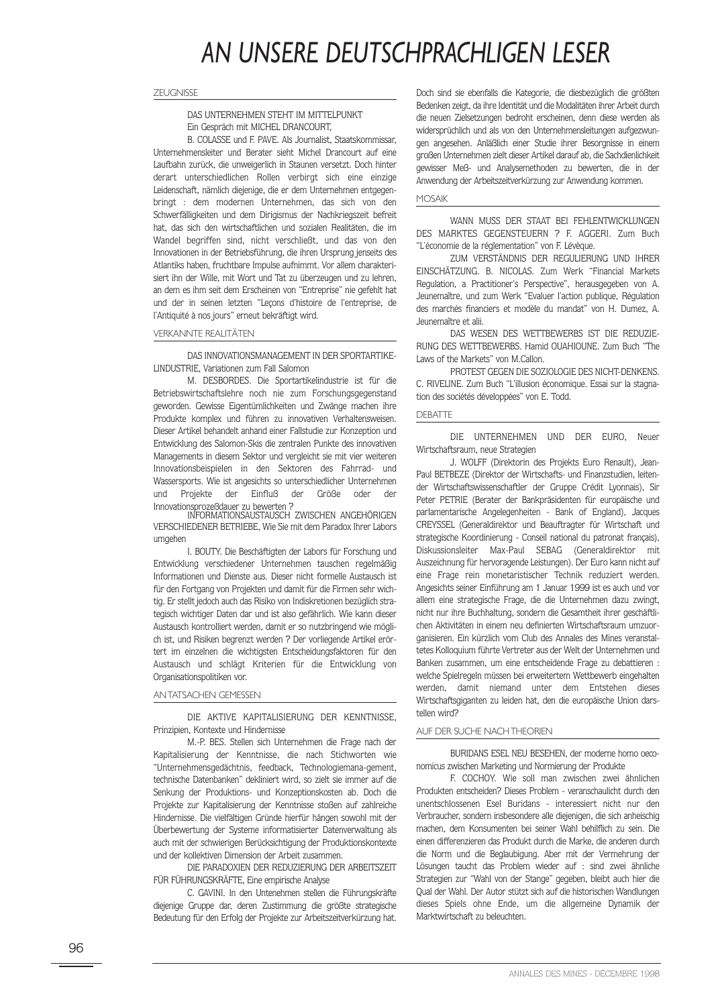# *AN UNSERE DEUTSCHPRACHLIGEN LESER*

#### **ZEUGNISSE**

# DAS UNTERNEHMEN STEHT IM MITTELPUNKT Ein Gespräch mit MICHEL DRANCOURT,

B. COLASSE und F. PAVE. Als Journalist, Staatskommissar, Unternehmensleiter und Berater sieht Michel Drancourt auf eine Laufbahn zurück, die unweigerlich in Staunen versetzt. Doch hinter derart unterschiedlichen Rollen verbirgt sich eine einzige Leidenschaft, nämlich diejenige, die er dem Unternehmen entgegenbringt : dem modernen Unternehmen, das sich von den Schwerfälligkeiten und dem Dirigismus der Nachkriegszeit befreit hat, das sich den wirtschaftlichen und sozialen Realitäten, die im Wandel begriffen sind, nicht verschließt, und das von den Innovationen in der Betriebsführung, die ihren Ursprung jenseits des Atlantiks haben, fruchtbare Impulse aufnimmt. Vor allem charakterisiert ihn der Wille, mit Wort und Tat zu überzeugen und zu lehren, an dem es ihm seit dem Erscheinen von "Entreprise" nie gefehlt hat und der in seinen letzten "Leçons d'histoire de l'entreprise, de l'Antiquité à nos jours" erneut bekräftigt wird.

# VERKANNTE REALITÄTEN

DAS INNOVATIONSMANAGEMENT IN DER SPORTARTIKE-LINDUSTRIE, Variationen zum Fall Salomon

M. DESBORDES. Die Sportartikelindustrie ist für die Betriebswirtschaftslehre noch nie zum Forschungsgegenstand geworden. Gewisse Eigentümlichkeiten und Zwänge machen ihre Produkte komplex und führen zu innovativen Verhaltensweisen. Dieser Artikel behandelt anhand einer Fallstudie zur Konzeption und Entwicklung des Salomon-Skis die zentralen Punkte des innovativen Managements in diesem Sektor und vergleicht sie mit vier weiteren Innovationsbeispielen in den Sektoren des Fahrrad- und Wassersports. Wie ist angesichts so unterschiedlicher Unternehmen und Projekte der Einfluß der Größe oder der Innovationsprozeßdauer zu bewerten ?

INFORMATIONSAUSTAUSCH ZWISCHEN ANGEHÖRIGEN VERSCHIEDENER BETRIEBE, Wie Sie mit dem Paradox Ihrer Labors umgehen

I. BOUTY. Die Beschäftigten der Labors für Forschung und Entwicklung verschiedener Unternehmen tauschen regelmäßig Informationen und Dienste aus. Dieser nicht formelle Austausch ist für den Fortgang von Projekten und damit für die Firmen sehr wichtig. Er stellt jedoch auch das Risiko von Indiskretionen bezüglich strategisch wichtiger Daten dar und ist also gefährlich. Wie kann dieser Austausch kontrolliert werden, damit er so nutzbringend wie möglich ist, und Risiken begrenzt werden ? Der vorliegende Artikel erörtert im einzelnen die wichtigsten Entscheidungsfaktoren für den Austausch und schlägt Kriterien für die Entwicklung von Organisationspolitiken vor.

#### ANTATSACHEN GEMESSEN

DIE AKTIVE KAPITALISIERUNG DER KENNTNISSE, Prinzipien, Kontexte und Hindernisse

M.-P. BES. Stellen sich Unternehmen die Frage nach der Kapitalisierung der Kenntnisse, die nach Stichworten wie "Unternehmensgedächtnis, feedback, Technologiemana-gement, technische Datenbanken" dekliniert wird, so zielt sie immer auf die Senkung der Produktions- und Konzeptionskosten ab. Doch die Projekte zur Kapitalisierung der Kenntnisse stoßen auf zahlreiche Hindernisse. Die vielfältigen Gründe hierfür hängen sowohl mit der Überbewertung der Systeme informatisierter Datenverwaltung als auch mit der schwierigen Berücksichtigung der Produktionskontexte und der kollektiven Dimension der Arbeit zusammen.

DIE PARADOXIEN DER REDUZIERUNG DER ARBEITSZEIT FÜR FÜHRUNGSKRÄFTE, Eine empirische Analyse

C. GAVINI. In den Untenehmen stellen die Führungskräfte diejenige Gruppe dar, deren Zustimmung die größte strategische Bedeutung für den Erfolg der Projekte zur Arbeitszeitverkürzung hat.

Doch sind sie ebenfalls die Kategorie, die diesbezüglich die größten Bedenken zeigt, da ihre Identität und die Modalitäten ihrer Arbeit durch die neuen Zielsetzungen bedroht erscheinen, denn diese werden als widersprüchlich und als von den Unternehmensleitungen aufgezwungen angesehen. Anläßlich einer Studie ihrer Besorgnisse in einem großen Unternehmen zielt dieser Artikel darauf ab, die Sachdienlichkeit gewisser Meß- und Analysemethoden zu bewerten, die in der Anwendung der Arbeitszeitverkürzung zur Anwendung kommen.

# **MOSAIK**

WANN MUSS DER STAAT BEI FEHLENTWICKLUNGEN DES MARKTES GEGENSTEUERN ? F. AGGERI. Zum Buch "L'économie de la réglementation" von F. Lévèque.

ZUM VERSTÄNDNIS DER REGULIERUNG UND IHRER EINSCHÄTZUNG. B. NICOLAS. Zum Werk "Financial Markets Regulation, a Practitioner's Perspective", herausgegeben von A. Jeunemaître, und zum Werk "Evaluer l'action publique, Régulation des marchés financiers et modèle du mandat" von H. Dumez, A. Jeunemaître et alii.

DAS WESEN DES WETTBEWERBS IST DIE REDUZIE-RUNG DES WETTBEWERBS. Hamid OUAHIOUNE. Zum Buch "The Laws of the Markets" von M.Callon.

PROTEST GEGEN DIE SOZIOLOGIE DES NICHT-DENKENS. C. RIVELINE. Zum Buch "L'illusion économique. Essai sur la stagnation des sociétés développées" von E. Todd.

#### **DEBATTE**

DIE UNTERNEHMEN UND DER EURO, Neuer Wirtschaftsraum, neue Strategien

J. WOLFF (Direktorin des Projekts Euro Renault), Jean-Paul BETBEZE (Direktor der Wirtschafts- und Finanzstudien, leitender Wirtschaftswissenschaftler der Gruppe Crédit Lyonnais), Sir Peter PETRIE (Berater der Bankpräsidenten für europäische und parlamentarische Angelegenheiten - Bank of England), Jacques CREYSSEL (Generaldirektor und Beauftragter für Wirtschaft und strategische Koordinierung - Conseil national du patronat français), Diskussionsleiter Max-Paul SEBAG (Generaldirektor mit Auszeichnung für hervoragende Leistungen). Der Euro kann nicht auf eine Frage rein monetaristischer Technik reduziert werden. Angesichts seiner Einführung am 1 Januar 1999 ist es auch und vor allem eine strategische Frage, die die Unternehmen dazu zwingt, nicht nur ihre Buchhaltung, sondern die Gesamtheit ihrer geschäftlichen Aktivitäten in einem neu definierten Wirtschaftsraum umzuorganisieren. Ein kürzlich vom Club des Annales des Mines veranstaltetes Kolloquium führte Vertreter aus der Welt der Unternehmen und Banken zusammen, um eine entscheidende Frage zu debattieren : welche Spielregeln müssen bei erweitertem Wettbewerb eingehalten werden, damit niemand unter dem Entstehen dieses Wirtschaftsgiganten zu leiden hat, den die europäische Union darstellen wird?

#### AUF DER SUCHE NACHTHEORIEN

BURIDANS ESEL NEU BESEHEN, der moderne homo oeconomicus zwischen Marketing und Normierung der Produkte

F. COCHOY. Wie soll man zwischen zwei ähnlichen Produkten entscheiden? Dieses Problem - veranschaulicht durch den unentschlossenen Esel Buridans - interessiert nicht nur den Verbraucher, sondern insbesondere alle diejenigen, die sich anheischig machen, dem Konsumenten bei seiner Wahl behilflich zu sein. Die einen differenzieren das Produkt durch die Marke, die anderen durch die Norm und die Beglaubigung. Aber mit der Vermehrung der Lösungen taucht das Problem wieder auf : sind zwei ähnliche Strategien zur "Wahl von der Stange" gegeben, bleibt auch hier die Qual der Wahl. Der Autor stützt sich auf die historischen Wandlungen dieses Spiels ohne Ende, um die allgemeine Dynamik der Marktwirtschaft zu beleuchten.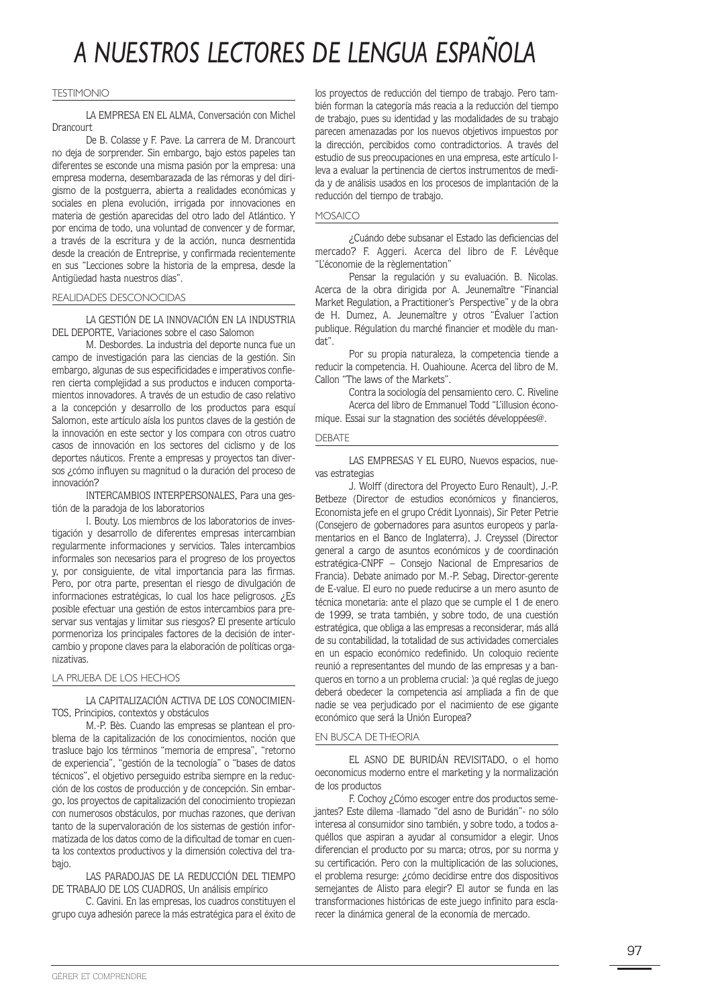# *A NUESTROS LECTORES DE LENGUA ESPAÑOLA*

#### TESTIMONIO

LA EMPRESA EN EL ALMA, Conversación con Michel Drancourt

De B. Colasse y F. Pave. La carrera de M. Drancourt no deja de sorprender. Sin embargo, bajo estos papeles tan diferentes se esconde una misma pasión por la empresa: una empresa moderna, desembarazada de las rémoras y del dirigismo de la postguerra, abierta a realidades económicas y sociales en plena evolución, irrigada por innovaciones en materia de gestión aparecidas del otro lado del Atlántico. Y por encima de todo, una voluntad de convencer y de formar, a través de la escritura y de la acción, nunca desmentida desde la creación de Entreprise, y confirmada recientemente en sus "Lecciones sobre la historia de la empresa, desde la Antigüedad hasta nuestros días".

#### REALIDADES DESCONOCIDAS

LA GESTIÓN DE LA INNOVACIÓN EN LA INDUSTRIA DEL DEPORTE, Variaciones sobre el caso Salomon

M. Desbordes. La industria del deporte nunca fue un campo de investigación para las ciencias de la gestión. Sin embargo, algunas de sus especificidades e imperativos confieren cierta complejidad a sus productos e inducen comportamientos innovadores. A través de un estudio de caso relativo a la concepción y desarrollo de los productos para esquí Salomon, este artículo aísla los puntos claves de la gestión de la innovación en este sector y los compara con otros cuatro casos de innovación en los sectores del ciclismo y de los deportes náuticos. Frente a empresas y proyectos tan diversos ¿cómo influyen su magnitud o la duración del proceso de innovación?

INTERCAMBIOS INTERPERSONALES, Para una gestión de la paradoja de los laboratorios

I. Bouty. Los miembros de los laboratorios de investigación y desarrollo de diferentes empresas intercambian regularmente informaciones y servicios. Tales intercambios informales son necesarios para el progreso de los proyectos y, por consiguiente, de vital importancia para las firmas. Pero, por otra parte, presentan el riesgo de divulgación de informaciones estratégicas, lo cual los hace peligrosos. ¿Es posible efectuar una gestión de estos intercambios para preservar sus ventajas y limitar sus riesgos? El presente artículo pormenoriza los principales factores de la decisión de intercambio y propone claves para la elaboración de políticas organizativas.

LA PRUEBA DE LOS HECHOS

# LA CAPITALIZACIÓN ACTIVA DE LOS CONOCIMIEN-TOS, Principios, contextos y obstáculos

M.-P. Bès. Cuando las empresas se plantean el problema de la capitalización de los conocimientos, noción que trasluce bajo los términos "memoria de empresa", "retorno de experiencia", "gestión de la tecnología" o "bases de datos técnicos", el objetivo perseguido estriba siempre en la reducción de los costos de producción y de concepción. Sin embargo, los proyectos de capitalización del conocimiento tropiezan con numerosos obstáculos, por muchas razones, que derivan tanto de la supervaloración de los sistemas de gestión informatizada de los datos como de la dificultad de tomar en cuenta los contextos productivos y la dimensión colectiva del trabajo.

LAS PARADOJAS DE LA REDUCCIÓN DEL TIEMPO DE TRABAJO DE LOS CUADROS, Un análisis empírico

C. Gavini. En las empresas, los cuadros constituyen el grupo cuya adhesión parece la más estratégica para el éxito de los proyectos de reducción del tiempo de trabajo. Pero también forman la categoría más reacia a la reducción del tiempo de trabajo, pues su identidad y las modalidades de su trabajo parecen amenazadas por los nuevos objetivos impuestos por la dirección, percibidos como contradictorios. A través del estudio de sus preocupaciones en una empresa, este artículo lleva a evaluar la pertinencia de ciertos instrumentos de medida y de análisis usados en los procesos de implantación de la reducción del tiempo de trabajo.

#### MOSAICO

¿Cuándo debe subsanar el Estado las deficiencias del mercado? F. Aggeri. Acerca del libro de F. Lévêque "L'économie de la règlementation"

Pensar la regulación y su evaluación. B. Nicolas. Acerca de la obra dirigida por A. Jeunemaître "Financial Market Regulation, a Practitioner's Perspective" y de la obra de H. Dumez, A. Jeunemaître y otros "Évaluer l'action publique. Régulation du marché financier et modèle du mandat".

Por su propia naturaleza, la competencia tiende a reducir la competencia. H. Ouahioune. Acerca del libro de M. Callon "The laws of the Markets".

Contra la sociología del pensamiento cero. C. Riveline Acerca del libro de Emmanuel Todd "L'illusion économique. Essai sur la stagnation des sociétés développées@.

#### DEBATE

LAS EMPRESAS Y EL EURO, Nuevos espacios, nuevas estrategias

J. Wolff (directora del Proyecto Euro Renault), J.-P. Betbeze (Director de estudios económicos y financieros, Economista jefe en el grupo Crédit Lyonnais), Sir Peter Petrie (Consejero de gobernadores para asuntos europeos y parlamentarios en el Banco de Inglaterra), J. Creyssel (Director general a cargo de asuntos económicos y de coordinación estratégica-CNPF – Consejo Nacional de Empresarios de Francia). Debate animado por M.-P. Sebag, Director-gerente de E-value. El euro no puede reducirse a un mero asunto de técnica monetaria: ante el plazo que se cumple el 1 de enero de 1999, se trata también, y sobre todo, de una cuestión estratégica, que obliga a las empresas a reconsiderar, más allá de su contabilidad, la totalidad de sus actividades comerciales en un espacio económico redefinido. Un coloquio reciente reunió a representantes del mundo de las empresas y a banqueros en torno a un problema crucial: )a qué reglas de juego deberá obedecer la competencia así ampliada a fin de que nadie se vea perjudicado por el nacimiento de ese gigante económico que será la Unión Europea?

#### EN BUSCA DE THEORIA

EL ASNO DE BURIDÁN REVISITADO, o el homo oeconomicus moderno entre el marketing y la normalización de los productos

F. Cochoy ¿Cómo escoger entre dos productos semejantes? Este dilema -llamado "del asno de Buridán"- no sólo interesa al consumidor sino también, y sobre todo, a todos aquéllos que aspiran a ayudar al consumidor a elegir. Unos diferencian el producto por su marca; otros, por su norma y su certificación. Pero con la multiplicación de las soluciones, el problema resurge: ¿cómo decidirse entre dos dispositivos semejantes de Alisto para elegir? El autor se funda en las transformaciones históricas de este juego infinito para esclarecer la dinámica general de la economía de mercado.